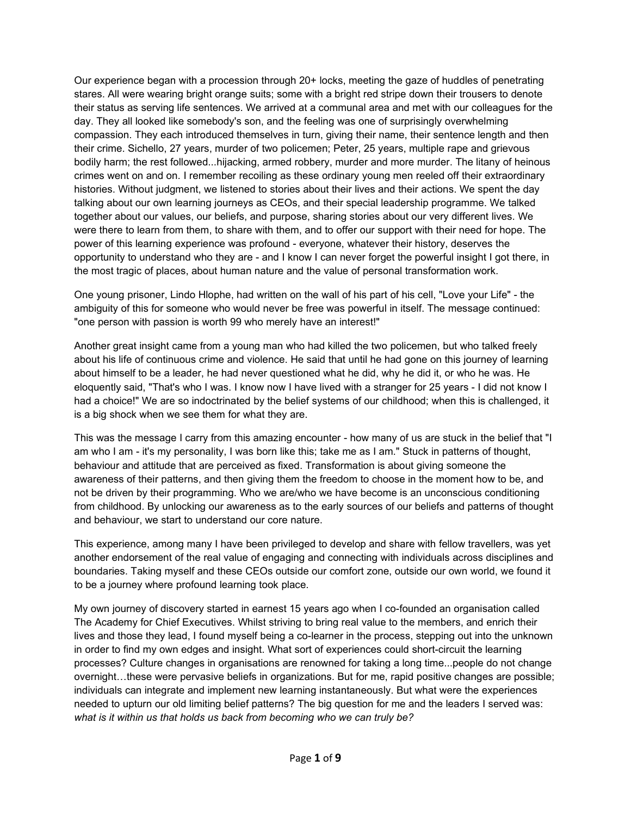Our experience began with a procession through 20+ locks, meeting the gaze ofhuddles of penetrating stares. All were wearing bright orange suits; some with a bright red stripe down their trousers to denote their status as serving life sentences. We arrived at a communal area and met with our colleagues for the day. They all looked like somebody's son, and the feeling was one of surprisingly overwhelming compassion. They each introduced themselves in turn, giving their name, their sentence length and then their crime. Sichello, 27 years, murder of two policemen; Peter, 25 years, multiple rape and grievous bodily harm; the rest followed...hijacking, armed robbery, murder and more murder. The litany of heinous crimes went on and on. I remember recoiling as these ordinary young men reeled off their extraordinary histories. Without judgment, we listened to stories about their lives and their actions. We spent the day talking about our own learning journeys as CEOs, and their special leadership programme. We talked together about our values, our beliefs, and purpose, sharing stories about our very different lives. We were there to learn from them, to share with them, and to offer our support with their need for hope. The power of this learning experience was profound - everyone, whatever their history, deserves the opportunity to understand who they are - and I know I can never forget the powerful insight I got there, in the most tragic of places, about human nature and the value of personal transformation work.

One young prisoner, Lindo Hlophe, had written on the wall of his part of his cell, "Love your Life" - the ambiguity of this for someone who would never be free was powerful in itself. The message continued: "one person with passion is worth 99 who merely have an interest!"

Another great insight came from a young man who had killed the two policemen, but who talked freely about his life of continuous crime and violence. He said that until he had gone on this journey of learning about himself to be a leader, he had never questioned what he did, why he did it, or who he was. He eloquently said, "That's who I was. I know now I have lived with a stranger for 25 years - I did not know I had a choice!"We are so indoctrinated by the belief systems of our childhood; when this is challenged, it is a big shock when we see them for what they are.

This was the message I carry from this amazing encounter - how many of us are stuck in the belief that "I am who I am - it's my personality, I was born like this; take me as I am." Stuck in patterns of thought, behaviour and attitude that are perceived as fixed. Transformation is about giving someone the awareness of their patterns, and then giving them the freedom to choose in the moment how to be, and not be driven by their programming. Who we are/who we have become is an unconscious conditioning from childhood. By unlocking our awareness as to the early sources of our beliefs and patterns of thought and behaviour, we start to understand our core nature.

This experience, among many I have been privileged to develop and share with fellow travellers, was yet another endorsement of the real value of engaging and connecting with individuals across disciplines and boundaries. Taking myself and these CEOs outside our comfort zone, outside our own world, we found it to be a journey where profound learning took place.

My own journey of discovery started in earnest 15 years ago when I co-founded an organisation called The Academy for Chief Executives. Whilst striving to bring real value to the members, and enrich their lives and those they lead, I found myself being a co-learner in the process, stepping out into the unknown in order to find my own edges and insight. What sort of experiences could short-circuit the learning processes? Culture changes in organisations are renowned for taking a long time...people do not change overnight…these were pervasive beliefs in organizations. But for me, rapid positive changes are possible; individuals can integrate and implement new learning instantaneously. But what were the experiences needed to upturn our old limiting belief patterns? The big question for me and the leaders I served was: *what is it within us that holds us back from becoming who we can truly be?*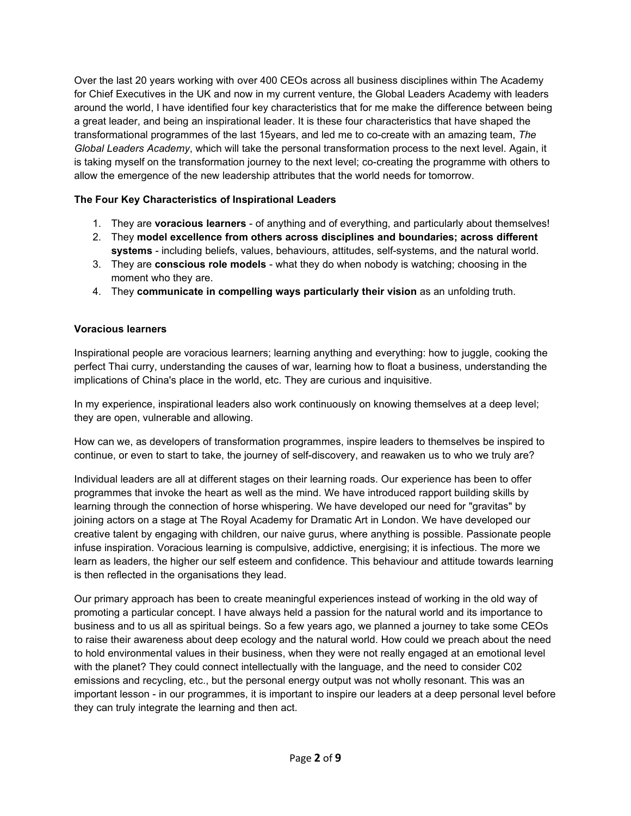Over the last 20 years working with over 400 CEOs across all business disciplines within The Academy for Chief Executives in the UK and now in my current venture, the Global Leaders Academy with leaders around the world, I have identified four key characteristics that for me make the difference between being a great leader, and being an inspirational leader. It is these four characteristics that have shaped the transformational programmes of the last 15years, and led me to co-create with an amazing team, *The Global Leaders Academy*, which will take the personal transformation process to the next level. Again, it is taking myself on the transformation journey to the next level; co-creating the programme with others to allow the emergence of the new leadership attributes that the world needs for tomorrow.

# **The Four Key Characteristics of Inspirational Leaders**

- 1. They are **voracious learners** of anything and of everything, and particularly about themselves!
- 2. They **model excellence from others across disciplines and boundaries; across different systems** - including beliefs, values, behaviours, attitudes, self-systems, and the natural world.
- 3. They are **conscious role models** what they do when nobody is watching; choosing in the moment who they are.
- 4. They **communicate in compelling ways particularly their vision** as an unfolding truth.

## **Voracious learners**

Inspirational people are voracious learners; learning anything and everything: how to juggle, cooking the perfect Thai curry, understanding the causes of war, learning how to float a business, understanding the implications of China's place in the world, etc. They are curious and inquisitive.

In my experience, inspirational leaders also work continuously on knowing themselves at a deep level; they are open, vulnerable and allowing.

How can we, as developers of transformation programmes, inspire leaders to themselves be inspired to continue, or even to start to take, the journey of self-discovery, and reawaken us to who we truly are?

Individual leaders are all at different stages on their learning roads. Our experience has been to offer programmes that invoke the heart as well as the mind. We have introduced rapport building skills by learning through the connection of horse whispering. We have developed our need for "gravitas" by joining actors on a stage at The Royal Academy for Dramatic Art in London. We have developed our creative talent by engaging with children, our naive gurus, where anything is possible.Passionate people infuse inspiration. Voracious learning is compulsive, addictive, energising; it is infectious. The more we learn as leaders, the higher our self esteem and confidence. This behaviour and attitude towards learning is then reflected in the organisations they lead.

Our primary approach has been to create meaningful experiences instead of working in the old way of promoting a particular concept. I have always held a passion for the natural world and its importance to business and to us all as spiritual beings. So a few years ago, we planned a journey to take some CEOs to raise their awareness about deep ecology and the natural world. How could we preach about the need to hold environmental values in their business, when they were not really engaged at an emotional level with the planet? They could connect intellectually with the language, and the need to consider C02 emissions and recycling, etc., but the personal energy output was not wholly resonant. This was an important lesson - in our programmes, it is important to inspire our leaders at a deep personal level before they can truly integrate the learning and then act.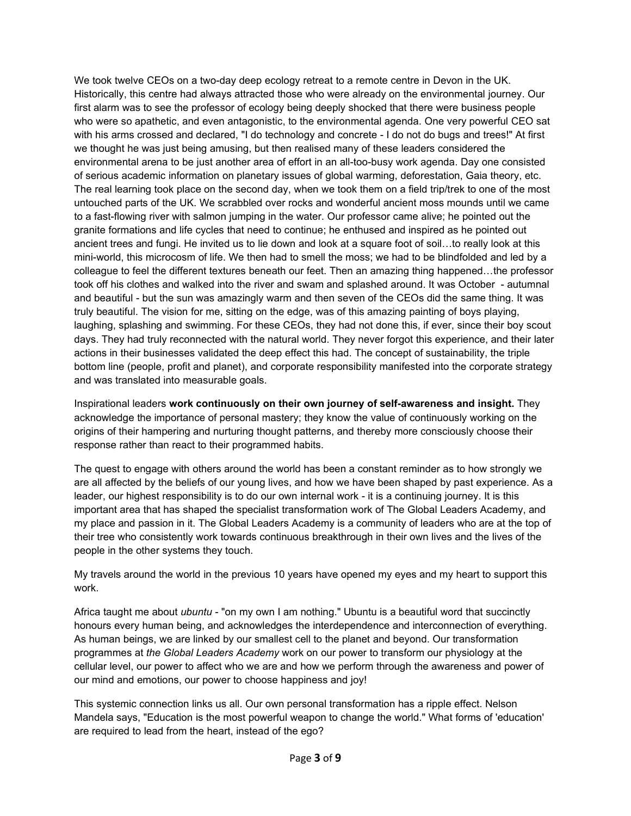We took twelve CEOs on a two-day deep ecology retreat to a remote centre in Devon in the UK. Historically, this centre had always attracted those who were already on the environmental journey. Our first alarm was to see the professor of ecology being deeply shocked that there were business people who were so apathetic, and even antagonistic, to the environmental agenda. One very powerful CEO sat with his arms crossed and declared, "I do technology and concrete - I do not do bugs and trees!" At first we thought he was just being amusing, but then realised many of these leaders considered the environmental arena to be just another area of effort in an all-too-busy work agenda. Day one consisted of serious academic information on planetary issues of global warming, deforestation, Gaia theory, etc. The real learning took place on the second day, when we took them on a field trip/trek to one of the most untouched parts of the UK. We scrabbled over rocks and wonderful ancient moss mounds until we came to a fast-flowing river with salmon jumping in the water. Our professor came alive; he pointed out the granite formations and life cycles that need to continue; he enthused and inspired as he pointed out ancient trees and fungi. He invited us to lie down and look at a square foot of soil...to really look at this mini-world, this microcosm of life. We then had to smell the moss; we had to be blindfolded and led by a colleague to feel the different textures beneath our feet. Then an amazing thing happened…the professor took off his clothes and walked into the river and swam and splashed around. It was October - autumnal and beautiful - but the sun was amazingly warm and then seven of the CEOs did the same thing. It was truly beautiful. The vision for me, sitting on the edge, was of this amazing painting of boys playing, laughing, splashing and swimming. For these CEOs, they had not done this, if ever, since their boy scout days. They had truly reconnected with the natural world. They never forgot this experience, and their later actions in their businesses validated the deep effect this had. The concept of sustainability, the triple bottom line (people, profit and planet), and corporate responsibility manifested into the corporate strategy and was translated into measurable goals.

Inspirational leaders **work continuously on their own journey of self-awareness and insight.** They acknowledge the importance of personal mastery; they know the value of continuously working on the origins of their hampering and nurturing thought patterns, and thereby more consciously choose their response rather than react to their programmed habits.

The quest to engage with others around the world has been a constant reminder as to how strongly we are all affected by the beliefs of our young lives, and how we have been shaped by past experience. As a leader, our highest responsibility is to do our own internal work - it is a continuing journey. It is this important area that has shaped the specialist transformation work of The Global Leaders Academy, and my place and passion in it. The Global Leaders Academy is a community of leaders who are at the top of their tree who consistently work towards continuous breakthrough in their own lives and the lives of the people in the other systems they touch.

My travels around the world in the previous 10 years have opened my eyes and my heart to support this work.

Africa taught me about *ubuntu* - "on my own I am nothing." Ubuntu is a beautiful word that succinctly honours every human being, and acknowledges the interdependence and interconnection of everything. As human beings, we are linked by our smallest cell to the planet and beyond. Our transformation programmes at *the Global Leaders Academy* work on ourpower to transform our physiology at the cellular level, our power to affect who we are and how we perform through the awareness and power of our mind and emotions, our power to choose happiness and joy!

This systemic connection links us all. Our own personal transformation has a ripple effect. Nelson Mandela says, "Education is the most powerful weapon to change the world." What forms of 'education' are required to lead from the heart, instead of the ego?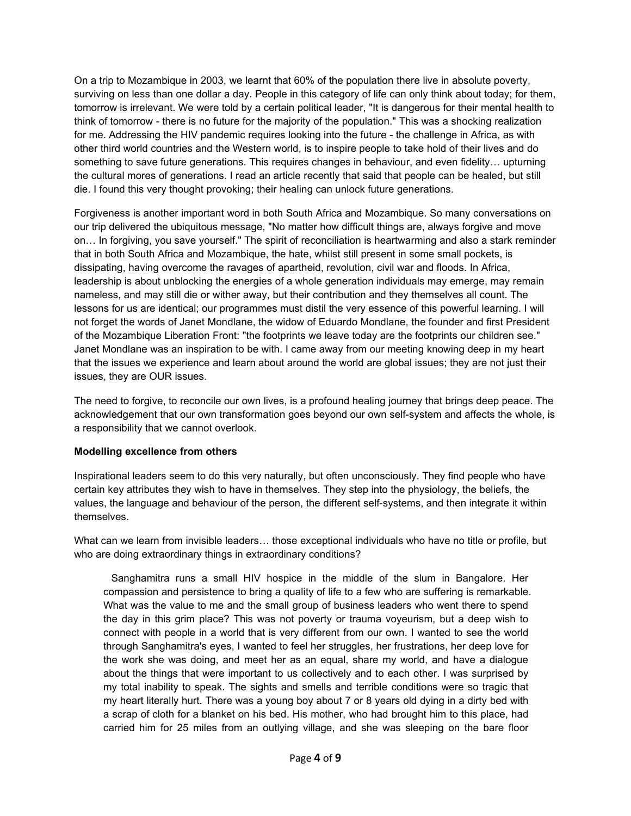On a trip to Mozambique in 2003, we learnt that 60% of the population there live in absolute poverty, surviving on less than one dollar a day. People in this category of life can only think about today; for them, tomorrow is irrelevant. We were told by a certain political leader, "It is dangerous for their mental health to think of tomorrow - there is no future for the majority of the population." This was a shocking realization for me. Addressing the HIV pandemic requires looking into the future - the challenge in Africa, as with other third world countries and the Western world, is to inspire people to take hold of their lives and do something to save future generations. This requires changes in behaviour, and even fidelity… upturning the cultural mores of generations. I read an article recently that said that people can be healed, but still die. I found this very thought provoking; their healing can unlock future generations.

Forgiveness is another important word in both South Africa and Mozambique. So many conversations on our trip delivered the ubiquitous message, "No matter how difficult things are, always forgive and move on… In forgiving, you save yourself." The spirit of reconciliation is heartwarming and also a stark reminder that in both South Africa and Mozambique, the hate, whilst still present in some small pockets, is dissipating, having overcome the ravages of apartheid, revolution, civil war and floods. In Africa, leadership is about unblocking the energies of a whole generation individuals may emerge, may remain nameless, and may still die or wither away, but their contribution and they themselves all count. The lessons for us are identical; our programmes must distil the very essence of this powerful learning. I will not forget the words of Janet Mondlane, the widow of Eduardo Mondlane, the founder and first President of the Mozambique Liberation Front: "the footprints we leave today are the footprints our children see." Janet Mondlane was an inspiration to be with. I came away from our meeting knowing deep in my heart that the issues we experience and learn about around the world are global issues; they are not just their issues, they are OUR issues.

The need to forgive, to reconcile our own lives, is a profound healing journey that brings deep peace. The acknowledgement that our own transformation goes beyond our own self-system and affects the whole, is a responsibility that we cannot overlook.

#### **Modelling excellence from others**

Inspirational leaders seem to do this very naturally, but often unconsciously. They find people who have certain key attributes they wish to have in themselves. They step into the physiology, the beliefs, the values, the language and behaviour of the person, the different self-systems, and then integrate it within themselves.

What can we learn from invisible leaders… those exceptional individuals who have no title or profile, but who are doing extraordinary things in extraordinary conditions?

Sanghamitra runs a small HIV hospice in the middle of the slum in Bangalore. Her compassion and persistence to bring a quality of life to a few who are suffering is remarkable. What was the value to me and the small group of business leaders who went there to spend the day in this grim place? This was not poverty or trauma voyeurism, but a deep wish to connect with people in a world that is very different from our own. I wanted to see the world through Sanghamitra's eyes, I wanted to feel her struggles, her frustrations, her deep love for the work she was doing, and meet her as an equal, share my world, and have a dialogue about the things that were important to us collectively and to each other. I was surprised by my total inability to speak. The sights and smells and terrible conditions were so tragic that my heart literally hurt. There was a young boy about 7 or 8 years old dying in a dirty bed with a scrap of cloth for a blanket on his bed. His mother, who had brought him to this place, had carried him for 25 miles from an outlying village, and she was sleeping on the bare floor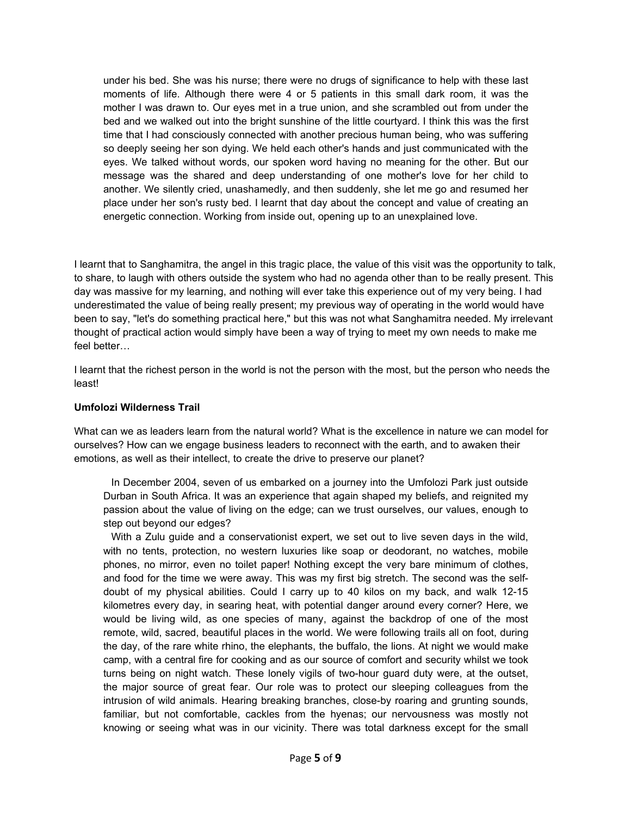under his bed. She was his nurse; there were no drugs of significance to help with these last moments of life. Although there were 4 or 5 patients in this small dark room, it was the mother I was drawn to. Our eyes met in a true union, and she scrambled out from under the bed and we walked out into the bright sunshine of the little courtyard. I think this was the first time that I had consciously connected with another precious human being, who was suffering so deeply seeing her son dying. We held each other's hands and just communicated with the eyes. We talked without words, our spoken word having no meaning for the other. But our message was the shared and deep understanding of one mother's love for her child to another. We silently cried, unashamedly, and then suddenly, she let me go and resumed her place under her son's rusty bed. I learnt that day about the concept and value of creating an energetic connection. Working from inside out, opening up to an unexplained love.

I learnt that to Sanghamitra, the angel in this tragic place, the value of this visit was the opportunity to talk, to share, to laugh with others outside the system who had no agenda other than to be really present. This day was massive for my learning, and nothing will ever take this experience out of my very being. I had underestimated the value of being really present; my previous way of operating in the world would have been to say, "let's do something practical here," but this was not what Sanghamitra needed. My irrelevant thought of practical action would simply have been a way of trying to meet my own needs to make me feel better…

I learnt that the richest person in the world is not the person with the most, but the person who needs the least!

#### **Umfolozi Wilderness Trail**

What can we as leaders learn from the natural world? What is the excellence in nature we can model for ourselves? How can we engage business leaders to reconnect with the earth, and to awaken their emotions, as well as their intellect, to create the drive to preserve our planet?

In December 2004, seven of us embarked on a journey into the Umfolozi Park just outside Durban in South Africa. It was an experience that again shaped my beliefs, and reignited my passion about the value of living on the edge; can we trust ourselves, our values, enough to step out beyond our edges?

With a Zulu guide and a conservationist expert, we set out to live seven days in the wild, with no tents, protection, no western luxuries like soap or deodorant, no watches, mobile phones, no mirror, even no toilet paper! Nothing except the very bare minimum of clothes, and food for the time we were away. This was my first big stretch. The second was the selfdoubt of my physical abilities. Could I carry up to 40 kilos on my back, and walk 12-15 kilometres every day, in searing heat, with potential danger around every corner? Here, we would be living wild, as one species of many, against the backdrop of one of the most remote, wild, sacred, beautiful places in the world. We were following trails all on foot, during the day, of the rare white rhino, the elephants, the buffalo, the lions. At night we would make camp, with a central fire for cooking and as our source of comfort and security whilst we took turns being on night watch. These lonely vigils of two-hour guard duty were, at the outset, the major source of great fear. Our role was to protect our sleeping colleagues from the intrusion of wild animals. Hearing breaking branches, close-by roaring and grunting sounds, familiar, but not comfortable, cackles from the hyenas; our nervousness was mostly not knowing or seeing what was in our vicinity. There was total darkness except for the small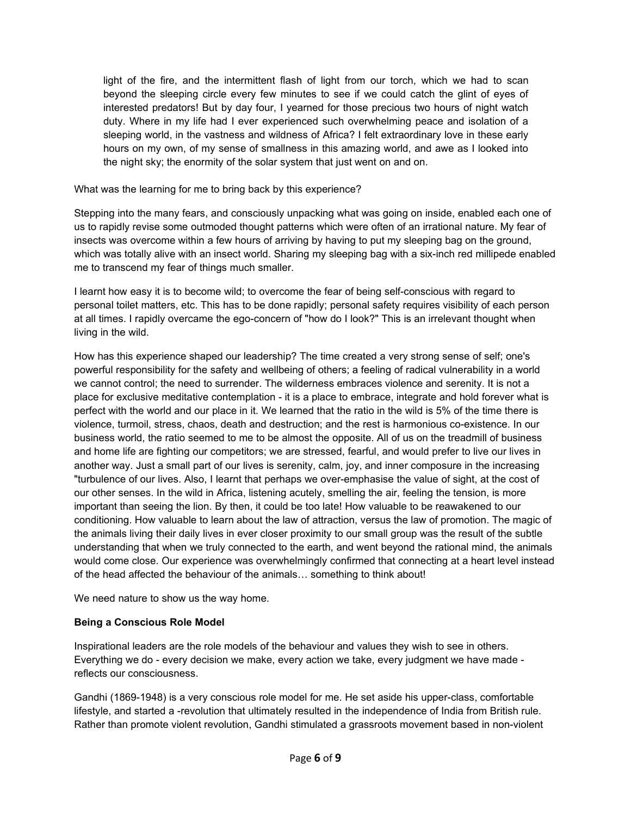light of the fire, and the intermittent flash of light from our torch, which we had to scan beyond the sleeping circle every few minutes to see if we could catch the glint of eyes of interested predators! But by day four, I yearned for those precious two hours of night watch duty. Where in my life had I ever experienced such overwhelming peace and isolation of a sleeping world, in the vastness and wildness of Africa? I felt extraordinary love in these early hours on my own, of my sense of smallness in this amazing world, and awe as I looked into the night sky; the enormity of the solar system that just went on and on.

What was the learning for me to bring back by this experience?

Stepping into the many fears, and consciously unpacking what was going on inside, enabled each one of us to rapidly revise some outmoded thought patterns which were often of an irrational nature. My fear of insects was overcome within a few hours of arriving by having to put my sleeping bag on the ground, which was totally alive with an insect world. Sharing my sleeping bag with a six-inch red millipede enabled me to transcend my fear of things much smaller.

I learnt how easy it isto become wild; to overcome the fear of being self-conscious with regard to personal toilet matters, etc. This has to be done rapidly; personal safety requires visibility of each person at all times. I rapidly overcame the ego-concern of "how do I look?" This is an irrelevant thought when living in the wild.

How has this experience shaped our leadership? The time created a very strong sense of self; one's powerful responsibility for the safety and wellbeing of others; a feeling of radical vulnerability in a world we cannot control; the need to surrender. The wilderness embraces violence and serenity. It is not a place for exclusive meditative contemplation - it is a place to embrace, integrate and hold forever what is perfect with the world and our place in it. We learned that the ratio in the wild is 5% of the time there is violence, turmoil, stress, chaos, death and destruction; and the rest is harmonious co-existence. In our business world, the ratio seemed to me to be almost the opposite. All of us on the treadmill of business and home life are fighting our competitors; we are stressed, fearful, and would prefer to live our lives in another way. Just a small part of our lives is serenity, calm, joy, and inner composure in the increasing "turbulence of our lives. Also, I learnt that perhaps we over-emphasise the value of sight, at the cost of our other senses. In the wild in Africa, listening acutely, smelling the air, feeling the tension, is more important than seeing the lion. By then, it could be too late! How valuable to be reawakened to our conditioning. How valuable to learn about the law of attraction, versus the law of promotion. The magic of the animals living their daily lives in ever closer proximity to our small group was the result of the subtle understanding that when we truly connected to the earth, and went beyond the rational mind, the animals would come close. Our experience was overwhelmingly confirmed that connecting at a heart level instead of the head affected the behaviour of the animals... something to think about!

We need nature to show us the way home.

## **Being a Conscious Role Model**

Inspirational leaders are the role models of the behaviour and values they wish to see in others. Everything we do - every decision we make, every action we take, every judgment we have made reflects our consciousness.

Gandhi (1869-1948) is a very conscious role model for me. He set aside his upper-class, comfortable lifestyle, and started a -revolution that ultimately resulted in the independence of India from British rule. Rather than promote violent revolution, Gandhi stimulated a grassroots movement based in non-violent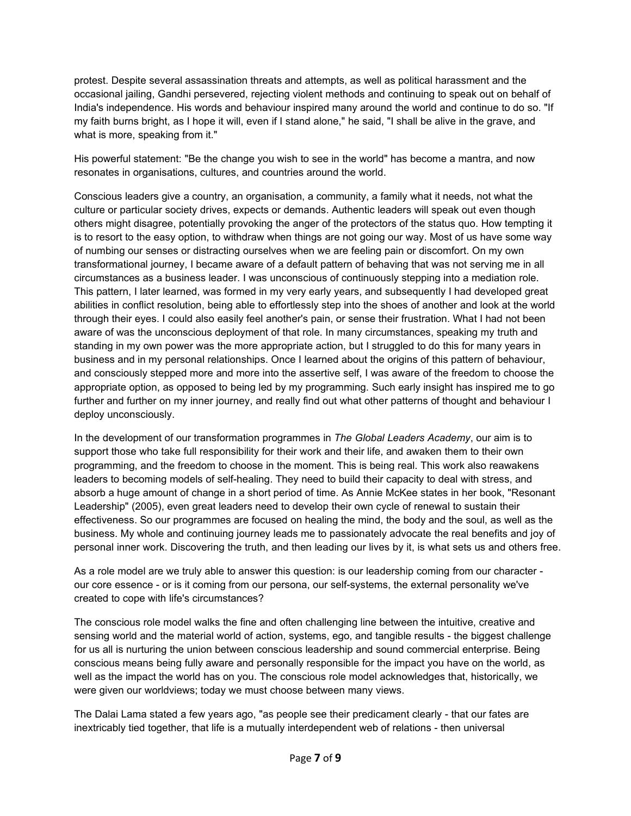protest. Despite several assassination threats and attempts, as well as political harassment and the occasional jailing, Gandhi persevered, rejecting violent methods and continuing to speak out on behalf of India's independence. His words and behaviour inspired many around the world and continue to do so. "If my faith burns bright, as I hope it will, even if I stand alone," he said, "I shall be alive in the grave, and what is more, speaking from it."

His powerful statement: "Be the change you wish to see in the world" has become a mantra, and now resonates in organisations, cultures, and countries around the world.

Conscious leaders give a country, an organisation, a community, a family what it needs, not what the culture or particular society drives, expects or demands. Authentic leaders will speak out even though others might disagree, potentially provoking the anger of the protectors of the status quo. How tempting it is to resort to the easy option, to withdraw when things are not going our way. Most of us have some way of numbing our senses or distracting ourselves when we are feeling pain or discomfort. On my own transformational journey, I became aware of a default pattern of behaving that was not serving me in all circumstances as a business leader. I was unconscious of continuously stepping into a mediation role. This pattern, Ilater learned, was formed in my very early years, and subsequently I had developed great abilities in conflict resolution, being able to effortlessly step into the shoes of another and look at the world through their eyes. I could also easily feel another's pain, or sense their frustration. What I had not been aware of was the unconscious deployment of that role. In many circumstances, speaking my truth and standing in my own power was the more appropriate action, but I struggled to do this for many years in business and in my personal relationships. Once I learned about the origins of this pattern of behaviour, and consciously stepped more and more into the assertive self, I was aware of the freedom to choose the appropriate option, as opposed to being led by my programming. Such early insight has inspired me to go further and further on my inner journey, and really find out what other patterns of thought and behaviour I deploy unconsciously.

In the development of our transformation programmes in *The Global Leaders Academy*, our aim is to support those who take full responsibility for their work and their life, and awaken them to their own programming, and the freedom to choose in the moment. This is being real. This work also reawakens leaders to becoming models of self-healing. They need to build their capacity to deal with stress, and absorb a huge amount of change in a short period of time. As Annie McKee states in her book, "Resonant Leadership" (2005), even great leaders need to develop their own cycle of renewal to sustain their effectiveness. So our programmes are focused on healing the mind, the body and the soul, as well as the business. My whole and continuing journey leads me to passionately advocate the real benefits and joy of personal inner work. Discovering the truth, and then leading our lives by it, is what sets us and others free.

As a role model are we truly able to answer this question: is our leadership coming from our character our core essence - or is it coming from our persona, our self-systems, the external personality we've created to cope with life's circumstances?

The conscious role model walks the fine and often challenging line between the intuitive, creative and sensing world and the material world of action, systems, ego, and tangible results - the biggest challenge for us all is nurturing the union between conscious leadership and sound commercial enterprise. Being conscious means being fully aware and personally responsible for the impact you have on the world, as well as the impact the world has on you. The conscious role model acknowledges that, historically, we were given our worldviews; today we must choose between many views.

The Dalai Lama stated a few years ago, "as people see their predicament clearly - that our fates are inextricably tied together, that life is a mutually interdependent web of relations - then universal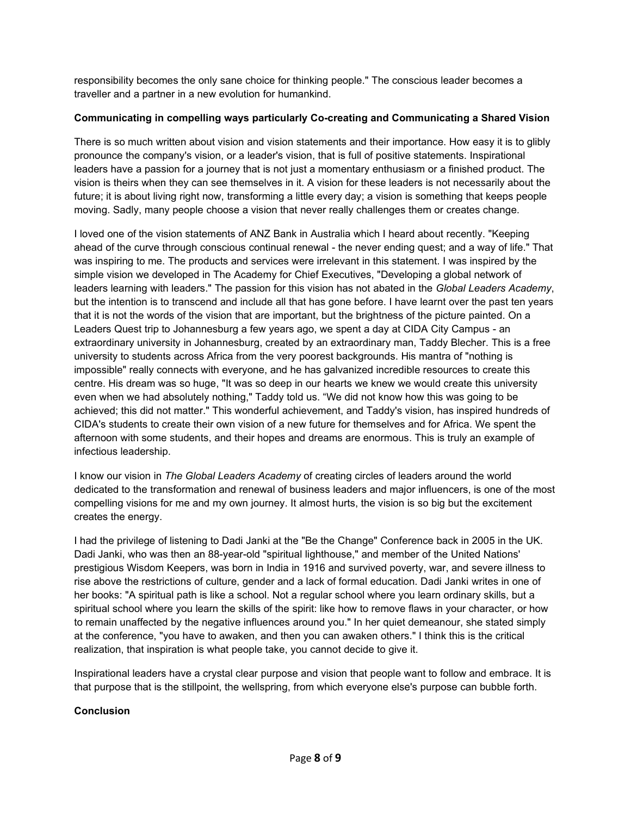responsibility becomes the only sane choice for thinking people." The conscious leader becomes a traveller and a partner in a new evolution for humankind.

## **Communicating in compelling ways particularly Co-creating and Communicating a Shared Vision**

There is so much written about vision and vision statements and their importance. How easy it is to glibly pronounce the company's vision, or a leader's vision, that is full of positive statements. Inspirational leaders have a passion for a journey that is not just a momentary enthusiasm or a finished product. The vision is theirs when they can see themselves in it. A vision for these leaders is not necessarily about the future; it is about living right now, transforming a little every day; a vision is something that keeps people moving. Sadly, many people choose a vision that never really challenges them or creates change.

I loved one of the vision statements of ANZ Bank in Australia which I heard about recently. "Keeping ahead of the curve through conscious continual renewal - the never ending quest; and a way of life." That was inspiring to me. The products and services were irrelevant in this statement. I was inspired by the simple vision we developed in The Academy for Chief Executives, "Developing a global network of leaders learning with leaders." The passion for this vision has not abated in the *Global Leaders Academy*, but the intention is to transcend and include all that has gone before. I have learnt over the past ten years that it is not the words of the vision that are important, but the brightness of the picture painted. On a Leaders Quest trip to Johannesburg a few years ago, we spent a day at CIDA City Campus - an extraordinary university in Johannesburg, created by an extraordinary man, Taddy Blecher. This is a free university to students across Africa from the very poorest backgrounds. His mantra of "nothing is impossible" really connects with everyone, and he has galvanized incredible resources to create this centre. His dream was so huge, "It was so deep in our hearts we knew we would create this university even when we had absolutely nothing," Taddy told us. "We did not know how this was going to be achieved; this did not matter." This wonderful achievement, and Taddy's vision, has inspired hundreds of CIDA's students to create their own vision of a new future for themselves and for Africa. We spent the afternoon with some students, and their hopes and dreams are enormous. This is truly an example of infectious leadership.

I know our vision in *The GlobalLeaders Academy* of creating circles of leaders around the world dedicated to the transformation and renewal of business leaders and major influencers, is one of the most compelling visions for me and my own journey. It almost hurts, the vision is so big but the excitement creates the energy.

I had the privilege of listening to Dadi Janki at the "Be the Change" Conference back in 2005 in the UK. Dadi Janki, who was then an 88-year-old "spiritual lighthouse," and member of the United Nations' prestigious Wisdom Keepers, wasborn in India in 1916 and survived poverty, war, and severe illness to rise above the restrictions of culture, gender and a lack of formaleducation. Dadi Janki writes in one of her books: "A spiritual path is like a school. Not a regular school where you learn ordinary skills, but a spiritual school where you learn the skills of the spirit: like how to remove flaws in your character, or how to remain unaffected by the negative influences around you." In her quiet demeanour, she stated simply at the conference, "you have to awaken, and then you can awaken others." I think this is the critical realization, that inspiration iswhat people take, you cannot decide to give it.

Inspirational leaders have a crystal clear purpose and vision that people want to follow and embrace. It is that purpose that is the stillpoint, the wellspring, from which everyone else's purpose can bubble forth.

#### **Conclusion**